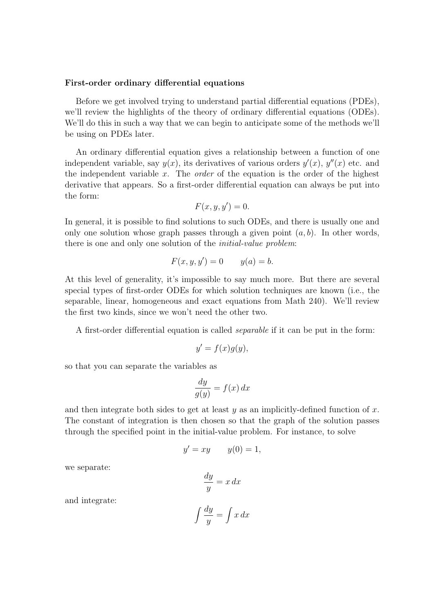## First-order ordinary differential equations

Before we get involved trying to understand partial differential equations (PDEs), we'll review the highlights of the theory of ordinary differential equations (ODEs). We'll do this in such a way that we can begin to anticipate some of the methods we'll be using on PDEs later.

An ordinary differential equation gives a relationship between a function of one independent variable, say  $y(x)$ , its derivatives of various orders  $y'(x)$ ,  $y''(x)$  etc. and the independent variable x. The *order* of the equation is the order of the highest derivative that appears. So a first-order differential equation can always be put into the form:

$$
F(x, y, y') = 0.
$$

In general, it is possible to find solutions to such ODEs, and there is usually one and only one solution whose graph passes through a given point  $(a, b)$ . In other words, there is one and only one solution of the *initial-value problem*:

$$
F(x, y, y') = 0 \qquad y(a) = b.
$$

At this level of generality, it's impossible to say much more. But there are several special types of first-order ODEs for which solution techniques are known (i.e., the separable, linear, homogeneous and exact equations from Math 240). We'll review the first two kinds, since we won't need the other two.

A first-order differential equation is called separable if it can be put in the form:

$$
y' = f(x)g(y),
$$

so that you can separate the variables as

$$
\frac{dy}{g(y)} = f(x) \, dx
$$

and then integrate both sides to get at least  $y$  as an implicitly-defined function of x. The constant of integration is then chosen so that the graph of the solution passes through the specified point in the initial-value problem. For instance, to solve

$$
y' = xy \qquad y(0) = 1,
$$

we separate:

$$
\frac{dy}{y} = x \, dx
$$

and integrate:

$$
\int \frac{dy}{y} = \int x \, dx
$$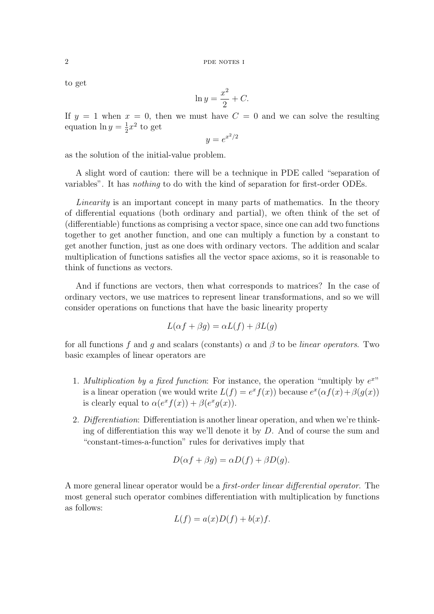to get

$$
\ln y = \frac{x^2}{2} + C.
$$

If  $y = 1$  when  $x = 0$ , then we must have  $C = 0$  and we can solve the resulting equation  $\ln y = \frac{1}{2}$  $\frac{1}{2}x^2$  to get

 $y = e^{x^2/2}$ 

as the solution of the initial-value problem.

A slight word of caution: there will be a technique in PDE called "separation of variables". It has nothing to do with the kind of separation for first-order ODEs.

Linearity is an important concept in many parts of mathematics. In the theory of differential equations (both ordinary and partial), we often think of the set of (differentiable) functions as comprising a vector space, since one can add two functions together to get another function, and one can multiply a function by a constant to get another function, just as one does with ordinary vectors. The addition and scalar multiplication of functions satisfies all the vector space axioms, so it is reasonable to think of functions as vectors.

And if functions are vectors, then what corresponds to matrices? In the case of ordinary vectors, we use matrices to represent linear transformations, and so we will consider operations on functions that have the basic linearity property

$$
L(\alpha f + \beta g) = \alpha L(f) + \beta L(g)
$$

for all functions f and q and scalars (constants)  $\alpha$  and  $\beta$  to be *linear operators*. Two basic examples of linear operators are

- 1. Multiplication by a fixed function: For instance, the operation "multiply by  $e^{x}$ " is a linear operation (we would write  $L(f) = e^x f(x)$ ) because  $e^x(\alpha f(x) + \beta(g(x)))$ is clearly equal to  $\alpha(e^x f(x)) + \beta(e^x g(x))$ .
- 2. Differentiation: Differentiation is another linear operation, and when we're thinking of differentiation this way we'll denote it by  $D$ . And of course the sum and "constant-times-a-function" rules for derivatives imply that

$$
D(\alpha f + \beta g) = \alpha D(f) + \beta D(g).
$$

A more general linear operator would be a first-order linear differential operator. The most general such operator combines differentiation with multiplication by functions as follows:

$$
L(f) = a(x)D(f) + b(x)f.
$$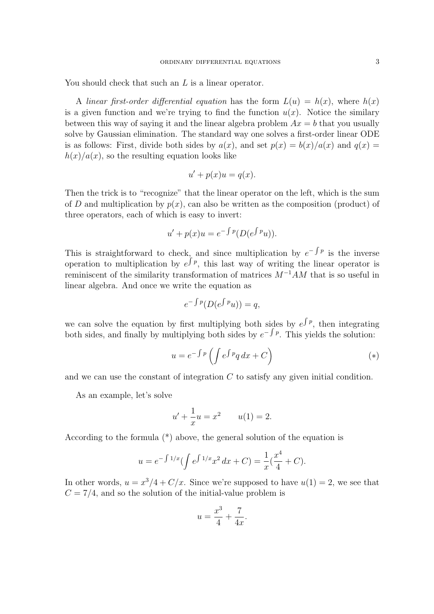You should check that such an L is a linear operator.

A linear first-order differential equation has the form  $L(u) = h(x)$ , where  $h(x)$ is a given function and we're trying to find the function  $u(x)$ . Notice the similary between this way of saying it and the linear algebra problem  $Ax = b$  that you usually solve by Gaussian elimination. The standard way one solves a first-order linear ODE is as follows: First, divide both sides by  $a(x)$ , and set  $p(x) = b(x)/a(x)$  and  $q(x) =$  $h(x)/a(x)$ , so the resulting equation looks like

$$
u' + p(x)u = q(x).
$$

Then the trick is to "recognize" that the linear operator on the left, which is the sum of D and multiplication by  $p(x)$ , can also be written as the composition (product) of three operators, each of which is easy to invert:

$$
u' + p(x)u = e^{-\int p}(D(e^{\int p}u)).
$$

This is straightforward to check, and since multiplication by  $e^{-\int p}$  is the inverse operation to multiplication by  $e^{\int p}$ , this last way of writing the linear operator is reminiscent of the similarity transformation of matrices  $M^{-1}AM$  that is so useful in linear algebra. And once we write the equation as

$$
e^{-\int p}(D(e^{\int p}u)) = q,
$$

we can solve the equation by first multiplying both sides by  $e^{\int p}$ , then integrating both sides, and finally by multiplying both sides by  $e^{-\int p}$ . This yields the solution:

$$
u = e^{-\int p} \left( \int e^{\int p} q \, dx + C \right) \tag{*}
$$

and we can use the constant of integration  $C$  to satisfy any given initial condition.

As an example, let's solve

$$
u' + \frac{1}{x}u = x^2 \qquad u(1) = 2.
$$

According to the formula (\*) above, the general solution of the equation is

$$
u = e^{-\int 1/x} (\int e^{\int 1/x} x^2 dx + C) = \frac{1}{x} (\frac{x^4}{4} + C).
$$

In other words,  $u = x^3/4 + C/x$ . Since we're supposed to have  $u(1) = 2$ , we see that  $C = 7/4$ , and so the solution of the initial-value problem is

$$
u = \frac{x^3}{4} + \frac{7}{4x}.
$$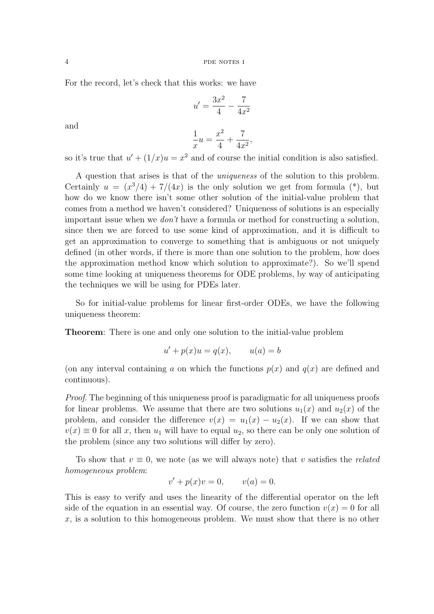For the record, let's check that this works: we have

$$
u' = \frac{3x^2}{4} - \frac{7}{4x^2}
$$

and

$$
\frac{1}{x}u = \frac{x^2}{4} + \frac{7}{4x^2},
$$

so it's true that  $u' + (1/x)u = x^2$  and of course the initial condition is also satisfied.

A question that arises is that of the uniqueness of the solution to this problem. Certainly  $u = (x^3/4) + 7/(4x)$  is the only solution we get from formula (\*), but how do we know there isn't some other solution of the initial-value problem that comes from a method we haven't considered? Uniqueness of solutions is an especially important issue when we don't have a formula or method for constructing a solution, since then we are forced to use some kind of approximation, and it is difficult to get an approximation to converge to something that is ambiguous or not uniquely defined (in other words, if there is more than one solution to the problem, how does the approximation method know which solution to approximate?). So we'll spend some time looking at uniqueness theorems for ODE problems, by way of anticipating the techniques we will be using for PDEs later.

So for initial-value problems for linear first-order ODEs, we have the following uniqueness theorem:

Theorem: There is one and only one solution to the initial-value problem

$$
u' + p(x)u = q(x), \qquad u(a) = b
$$

(on any interval containing a on which the functions  $p(x)$  and  $q(x)$  are defined and continuous).

Proof. The beginning of this uniqueness proof is paradigmatic for all uniqueness proofs for linear problems. We assume that there are two solutions  $u_1(x)$  and  $u_2(x)$  of the problem, and consider the difference  $v(x) = u_1(x) - u_2(x)$ . If we can show that  $v(x) \equiv 0$  for all x, then  $u_1$  will have to equal  $u_2$ , so there can be only one solution of the problem (since any two solutions will differ by zero).

To show that  $v \equiv 0$ , we note (as we will always note) that v satisfies the *related* homogeneous problem:

$$
v' + p(x)v = 0, \qquad v(a) = 0.
$$

This is easy to verify and uses the linearity of the differential operator on the left side of the equation in an essential way. Of course, the zero function  $v(x) = 0$  for all  $x$ , is a solution to this homogeneous problem. We must show that there is no other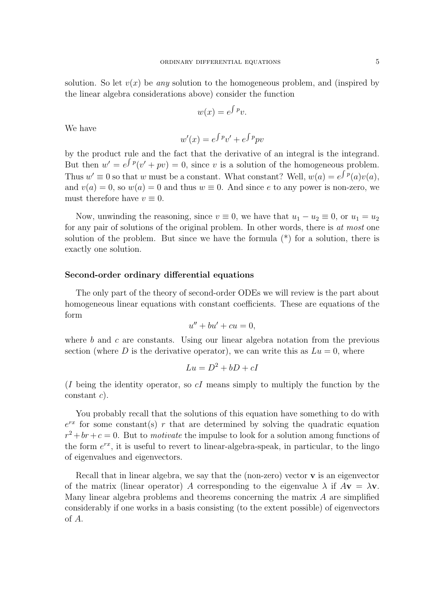$$
w(x) = e^{\int p}v.
$$

We have

$$
w'(x) = e^{\int p}v' + e^{\int p}pv
$$

by the product rule and the fact that the derivative of an integral is the integrand. But then  $w' = e^{\int p}(v' + pv) = 0$ , since v is a solution of the homogeneous problem. Thus  $w' \equiv 0$  so that w must be a constant. What constant? Well,  $w(a) = e^{\int p(a)v(a)}$ , and  $v(a) = 0$ , so  $w(a) = 0$  and thus  $w \equiv 0$ . And since e to any power is non-zero, we must therefore have  $v \equiv 0$ .

Now, unwinding the reasoning, since  $v \equiv 0$ , we have that  $u_1 - u_2 \equiv 0$ , or  $u_1 = u_2$ for any pair of solutions of the original problem. In other words, there is at most one solution of the problem. But since we have the formula  $(*)$  for a solution, there is exactly one solution.

## Second-order ordinary differential equations

The only part of the theory of second-order ODEs we will review is the part about homogeneous linear equations with constant coefficients. These are equations of the form

$$
u'' + bu' + cu = 0,
$$

where  $b$  and  $c$  are constants. Using our linear algebra notation from the previous section (where D is the derivative operator), we can write this as  $Lu = 0$ , where

$$
Lu = D^2 + bD + cI
$$

(I being the identity operator, so  $cI$  means simply to multiply the function by the constant c).

You probably recall that the solutions of this equation have something to do with  $e^{rx}$  for some constant(s) r that are determined by solving the quadratic equation  $r^2 + br + c = 0$ . But to *motivate* the impulse to look for a solution among functions of the form  $e^{rx}$ , it is useful to revert to linear-algebra-speak, in particular, to the lingo of eigenvalues and eigenvectors.

Recall that in linear algebra, we say that the (non-zero) vector  $\bf{v}$  is an eigenvector of the matrix (linear operator) A corresponding to the eigenvalue  $\lambda$  if  $A\mathbf{v} = \lambda \mathbf{v}$ . Many linear algebra problems and theorems concerning the matrix A are simplified considerably if one works in a basis consisting (to the extent possible) of eigenvectors of A.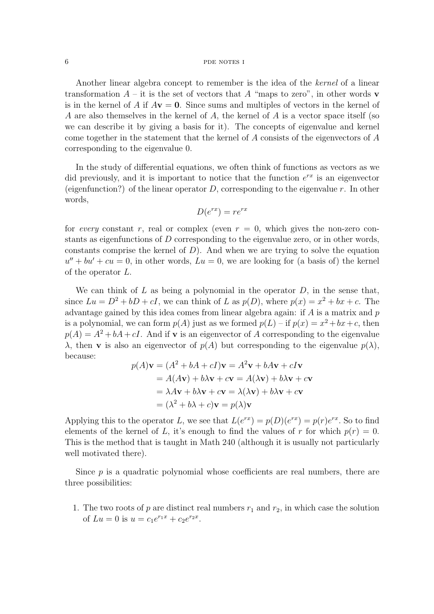## 6 pdf notes in the notes in the notes in the notes in the notes in the normal pole in the normal pole in the normal pole in the normal pole in the normal pole in the normal pole in the normal pole in the normal pole in the

Another linear algebra concept to remember is the idea of the kernel of a linear transformation  $A$  – it is the set of vectors that A "maps to zero", in other words v is in the kernel of A if  $A\mathbf{v} = \mathbf{0}$ . Since sums and multiples of vectors in the kernel of A are also themselves in the kernel of A, the kernel of A is a vector space itself (so we can describe it by giving a basis for it). The concepts of eigenvalue and kernel come together in the statement that the kernel of A consists of the eigenvectors of A corresponding to the eigenvalue 0.

In the study of differential equations, we often think of functions as vectors as we did previously, and it is important to notice that the function  $e^{rx}$  is an eigenvector (eigenfunction?) of the linear operator  $D$ , corresponding to the eigenvalue r. In other words,

$$
D(e^{rx}) = re^{rx}
$$

for every constant r, real or complex (even  $r = 0$ , which gives the non-zero constants as eigenfunctions of D corresponding to the eigenvalue zero, or in other words, constants comprise the kernel of  $D$ ). And when we are trying to solve the equation  $u'' + bu' + cu = 0$ , in other words,  $Lu = 0$ , we are looking for (a basis of) the kernel of the operator L.

We can think of  $L$  as being a polynomial in the operator  $D$ , in the sense that, since  $Lu = D^2 + bD + cI$ , we can think of L as  $p(D)$ , where  $p(x) = x^2 + bx + c$ . The advantage gained by this idea comes from linear algebra again: if  $A$  is a matrix and  $p$ is a polynomial, we can form  $p(A)$  just as we formed  $p(L)$  – if  $p(x) = x^2 + bx + c$ , then  $p(A) = A^2 + bA + cI$ . And if **v** is an eigenvector of A corresponding to the eigenvalue λ, then **v** is also an eigenvector of  $p(A)$  but corresponding to the eigenvalue  $p(\lambda)$ , because:

$$
p(A)\mathbf{v} = (A^2 + bA + cI)\mathbf{v} = A^2\mathbf{v} + bA\mathbf{v} + cI\mathbf{v}
$$
  
=  $A(A\mathbf{v}) + b\lambda\mathbf{v} + c\mathbf{v} = A(\lambda\mathbf{v}) + b\lambda\mathbf{v} + c\mathbf{v}$   
=  $\lambda A\mathbf{v} + b\lambda\mathbf{v} + c\mathbf{v} = \lambda(\lambda\mathbf{v}) + b\lambda\mathbf{v} + c\mathbf{v}$   
=  $(\lambda^2 + b\lambda + c)\mathbf{v} = p(\lambda)\mathbf{v}$ 

Applying this to the operator L, we see that  $L(e^{rx}) = p(D)(e^{rx}) = p(r)e^{rx}$ . So to find elements of the kernel of L, it's enough to find the values of r for which  $p(r) = 0$ . This is the method that is taught in Math 240 (although it is usually not particularly well motivated there).

Since  $p$  is a quadratic polynomial whose coefficients are real numbers, there are three possibilities:

1. The two roots of p are distinct real numbers  $r_1$  and  $r_2$ , in which case the solution of  $Lu = 0$  is  $u = c_1 e^{r_1 x} + c_2 e^{r_2 x}$ .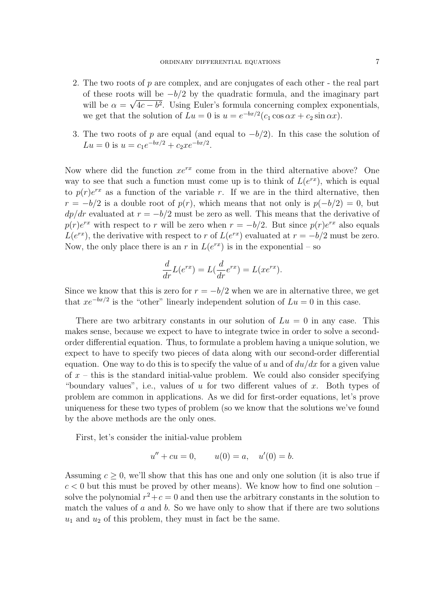- 2. The two roots of  $p$  are complex, and are conjugates of each other the real part of these roots will be  $-b/2$  by the quadratic formula, and the imaginary part will be  $\alpha = \sqrt{4c - b^2}$ . Using Euler's formula concerning complex exponentials, we get that the solution of  $Lu = 0$  is  $u = e^{-bx/2}(c_1 \cos \alpha x + c_2 \sin \alpha x)$ .
- 3. The two roots of p are equal (and equal to  $-b/2$ ). In this case the solution of  $Lu = 0$  is  $u = c_1 e^{-bx/2} + c_2 x e^{-bx/2}$ .

Now where did the function  $xe^{rx}$  come from in the third alternative above? One way to see that such a function must come up is to think of  $L(e^{rx})$ , which is equal to  $p(r)e^{rx}$  as a function of the variable r. If we are in the third alternative, then  $r = -b/2$  is a double root of  $p(r)$ , which means that not only is  $p(-b/2) = 0$ , but  $dp/dr$  evaluated at  $r = -b/2$  must be zero as well. This means that the derivative of  $p(r)e^{rx}$  with respect to r will be zero when  $r = -b/2$ . But since  $p(r)e^{rx}$  also equals  $L(e^{rx})$ , the derivative with respect to r of  $L(e^{rx})$  evaluated at  $r = -b/2$  must be zero. Now, the only place there is an r in  $L(e^{rx})$  is in the exponential – so

$$
\frac{d}{dr}L(e^{rx}) = L(\frac{d}{dr}e^{rx}) = L(xe^{rx}).
$$

Since we know that this is zero for  $r = -b/2$  when we are in alternative three, we get that  $xe^{-bx/2}$  is the "other" linearly independent solution of  $Lu = 0$  in this case.

There are two arbitrary constants in our solution of  $Lu = 0$  in any case. This makes sense, because we expect to have to integrate twice in order to solve a secondorder differential equation. Thus, to formulate a problem having a unique solution, we expect to have to specify two pieces of data along with our second-order differential equation. One way to do this is to specify the value of u and of  $du/dx$  for a given value of  $x -$  this is the standard initial-value problem. We could also consider specifying "boundary values", i.e., values of  $u$  for two different values of  $x$ . Both types of problem are common in applications. As we did for first-order equations, let's prove uniqueness for these two types of problem (so we know that the solutions we've found by the above methods are the only ones.

First, let's consider the initial-value problem

$$
u'' + cu = 0, \t u(0) = a, \t u'(0) = b.
$$

Assuming  $c > 0$ , we'll show that this has one and only one solution (it is also true if  $c < 0$  but this must be proved by other means). We know how to find one solution – solve the polynomial  $r^2+c=0$  and then use the arbitrary constants in the solution to match the values of  $a$  and  $b$ . So we have only to show that if there are two solutions  $u_1$  and  $u_2$  of this problem, they must in fact be the same.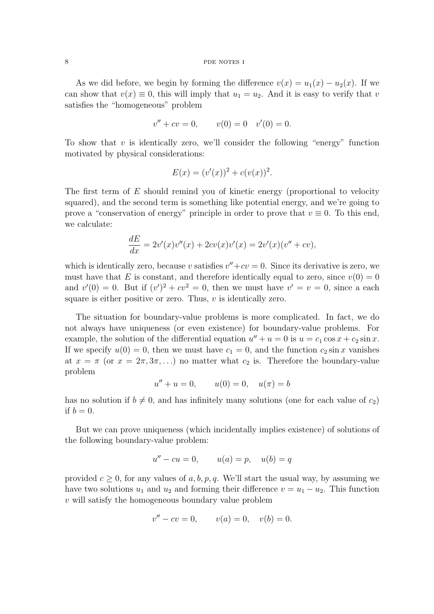## 8 pdf notes in the notes in the notes in the notes in the notes in the notes in the normal part of  $\theta$

As we did before, we begin by forming the difference  $v(x) = u_1(x) - u_2(x)$ . If we can show that  $v(x) \equiv 0$ , this will imply that  $u_1 = u_2$ . And it is easy to verify that v satisfies the "homogeneous" problem

$$
v'' + cv = 0, \t v(0) = 0 \t v'(0) = 0.
$$

To show that  $v$  is identically zero, we'll consider the following "energy" function motivated by physical considerations:

$$
E(x) = (v'(x))^2 + c(v(x))^2.
$$

The first term of E should remind you of kinetic energy (proportional to velocity squared), and the second term is something like potential energy, and we're going to prove a "conservation of energy" principle in order to prove that  $v \equiv 0$ . To this end, we calculate:

$$
\frac{dE}{dx} = 2v'(x)v''(x) + 2cv(x)v'(x) = 2v'(x)(v'' + cv),
$$

which is identically zero, because v satisfies  $v'' + cv = 0$ . Since its derivative is zero, we must have that E is constant, and therefore identically equal to zero, since  $v(0) = 0$ and  $v'(0) = 0$ . But if  $(v')^2 + cv^2 = 0$ , then we must have  $v' = v = 0$ , since a each square is either positive or zero. Thus,  $v$  is identically zero.

The situation for boundary-value problems is more complicated. In fact, we do not always have uniqueness (or even existence) for boundary-value problems. For example, the solution of the differential equation  $u'' + u = 0$  is  $u = c_1 \cos x + c_2 \sin x$ . If we specify  $u(0) = 0$ , then we must have  $c_1 = 0$ , and the function  $c_2 \sin x$  vanishes at  $x = \pi$  (or  $x = 2\pi, 3\pi, \ldots$ ) no matter what  $c_2$  is. Therefore the boundary-value problem

$$
u'' + u = 0, \t u(0) = 0, \t u(\pi) = b
$$

has no solution if  $b \neq 0$ , and has infinitely many solutions (one for each value of  $c_2$ ) if  $b = 0$ .

But we can prove uniqueness (which incidentally implies existence) of solutions of the following boundary-value problem:

$$
u'' - cu = 0, \qquad u(a) = p, \quad u(b) = q
$$

provided  $c \geq 0$ , for any values of a, b, p, q. We'll start the usual way, by assuming we have two solutions  $u_1$  and  $u_2$  and forming their difference  $v = u_1 - u_2$ . This function v will satisfy the homogeneous boundary value problem

$$
v'' - cv = 0, \t v(a) = 0, \t v(b) = 0.
$$